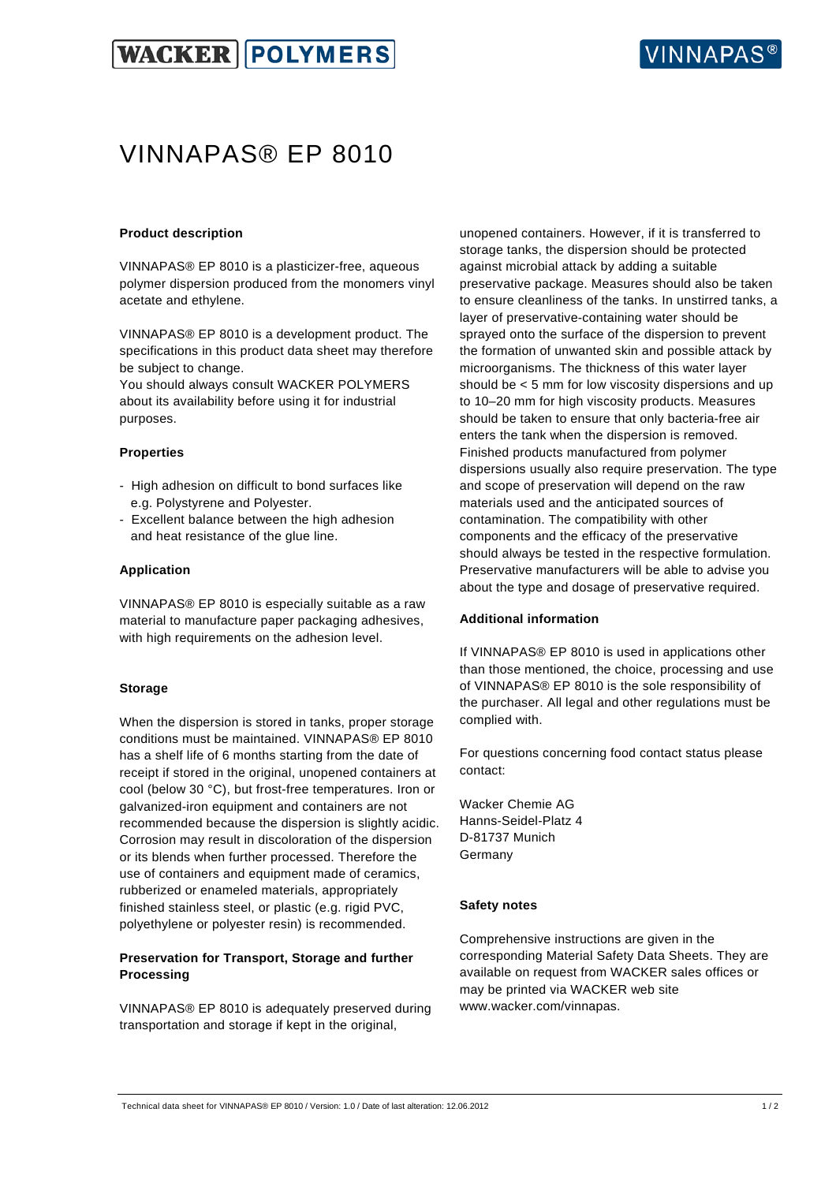

## VINNAPAS® EP 8010

### **Product description**

VINNAPAS® EP 8010 is a plasticizer-free, aqueous polymer dispersion produced from the monomers vinyl acetate and ethylene.

VINNAPAS® EP 8010 is a development product. The specifications in this product data sheet may therefore be subject to change.

You should always consult WACKER POLYMERS about its availability before using it for industrial purposes.

### **Properties**

- High adhesion on difficult to bond surfaces like e.g. Polystyrene and Polyester.
- Excellent balance between the high adhesion and heat resistance of the glue line.

### **Application**

VINNAPAS® EP 8010 is especially suitable as a raw material to manufacture paper packaging adhesives, with high requirements on the adhesion level.

### **Storage**

When the dispersion is stored in tanks, proper storage conditions must be maintained. VINNAPAS® EP 8010 has a shelf life of 6 months starting from the date of receipt if stored in the original, unopened containers at cool (below 30 °C), but frost-free temperatures. Iron or galvanized-iron equipment and containers are not recommended because the dispersion is slightly acidic. Corrosion may result in discoloration of the dispersion or its blends when further processed. Therefore the use of containers and equipment made of ceramics, rubberized or enameled materials, appropriately finished stainless steel, or plastic (e.g. rigid PVC, polyethylene or polyester resin) is recommended.

## **Preservation for Transport, Storage and further Processing**

VINNAPAS® EP 8010 is adequately preserved during transportation and storage if kept in the original,

unopened containers. However, if it is transferred to storage tanks, the dispersion should be protected against microbial attack by adding a suitable preservative package. Measures should also be taken to ensure cleanliness of the tanks. In unstirred tanks, a layer of preservative-containing water should be sprayed onto the surface of the dispersion to prevent the formation of unwanted skin and possible attack by microorganisms. The thickness of this water layer should be < 5 mm for low viscosity dispersions and up to 10–20 mm for high viscosity products. Measures should be taken to ensure that only bacteria-free air enters the tank when the dispersion is removed. Finished products manufactured from polymer dispersions usually also require preservation. The type and scope of preservation will depend on the raw materials used and the anticipated sources of contamination. The compatibility with other components and the efficacy of the preservative should always be tested in the respective formulation. Preservative manufacturers will be able to advise you about the type and dosage of preservative required.

#### **Additional information**

If VINNAPAS® EP 8010 is used in applications other than those mentioned, the choice, processing and use of VINNAPAS® EP 8010 is the sole responsibility of the purchaser. All legal and other regulations must be complied with.

For questions concerning food contact status please contact:

Wacker Chemie AG Hanns-Seidel-Platz 4 D-81737 Munich Germany

#### **Safety notes**

Comprehensive instructions are given in the corresponding Material Safety Data Sheets. They are available on request from WACKER sales offices or may be printed via WACKER web site www.wacker.com/vinnapas.